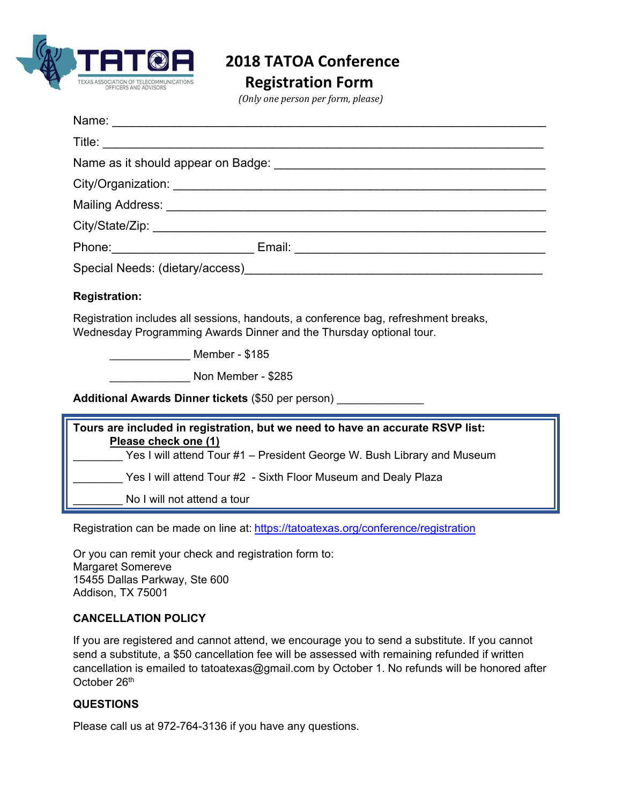

 **2018 TATOA Conference** 

 **Registration Form** 

*(Only one person per form, please)*

| <b>Registration:</b>                                                                                                                                                              |
|-----------------------------------------------------------------------------------------------------------------------------------------------------------------------------------|
| Registration includes all sessions, handouts, a conference bag, refreshment breaks,<br>Wednesday Programming Awards Dinner and the Thursday optional tour.                        |
| Member - \$185                                                                                                                                                                    |
| Non Member - \$285                                                                                                                                                                |
| Additional Awards Dinner tickets (\$50 per person) ______________________________                                                                                                 |
| Tours are included in registration, but we need to have an accurate RSVP list:<br>Please check one (1)<br>Yes I will attend Tour #1 – President George W. Bush Library and Museum |
| Yes I will attend Tour #2 - Sixth Floor Museum and Dealy Plaza                                                                                                                    |
| No I will not attend a tour                                                                                                                                                       |

Registration can be made on line at: https://tatoatexas.org/conference/registration

Or you can remit your check and registration form to: Margaret Somereve 15455 Dallas Parkway, Ste 600 Addison, TX 75001

#### **CANCELLATION POLICY**

If you are registered and cannot attend, we encourage you to send a substitute. If you cannot send a substitute, a \$50 cancellation fee will be assessed with remaining refunded if written cancellation is emailed to tatoatexas@gmail.com by October 1. No refunds will be honored after October 26<sup>th</sup>

## **QUESTIONS**

Please call us at 972-764-3136 if you have any questions.